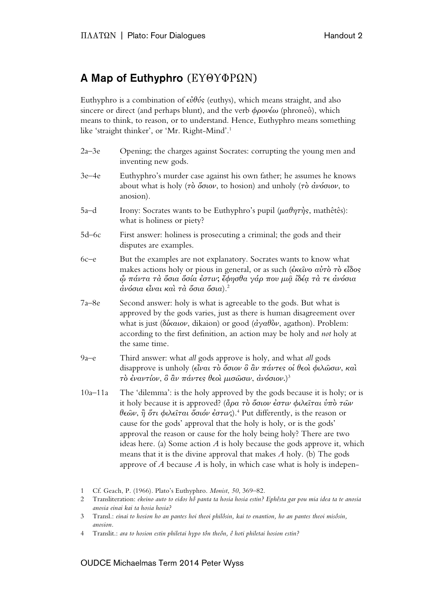## A Map of Euthyphro (ΕΥΘΥΦΡΩΝ)

Euthyphro is a combination of εὐθύς (euthys), which means straight, and also sincere or direct (and perhaps blunt), and the verb  $\phi \rho o \nu \epsilon \omega$  (phroneô), which means to think, to reason, or to understand. Hence, Euthyphro means something like 'straight thinker', or 'Mr. Right-Mind'.1

| 2a–3e       | Opening; the charges against Socrates: corrupting the young men and<br>inventing new gods.                                                                                                                                                                                                                                                                                                                                                                                                                                                                                                                                                                                                                                                                                                                 |
|-------------|------------------------------------------------------------------------------------------------------------------------------------------------------------------------------------------------------------------------------------------------------------------------------------------------------------------------------------------------------------------------------------------------------------------------------------------------------------------------------------------------------------------------------------------------------------------------------------------------------------------------------------------------------------------------------------------------------------------------------------------------------------------------------------------------------------|
| $3e-4e$     | Euthyphro's murder case against his own father; he assumes he knows<br>about what is holy ( $\tau\delta$ όσιον, to hosion) and unholy ( $\tau\delta$ ανόσιον, to<br>anosion).                                                                                                                                                                                                                                                                                                                                                                                                                                                                                                                                                                                                                              |
| 5a–d        | Irony: Socrates wants to be Euthyphro's pupil ( $\mu a \theta \eta \tau \eta s$ , mathêtês):<br>what is holiness or piety?                                                                                                                                                                                                                                                                                                                                                                                                                                                                                                                                                                                                                                                                                 |
| 5d–6c       | First answer: holiness is prosecuting a criminal; the gods and their<br>disputes are examples.                                                                                                                                                                                                                                                                                                                                                                                                                                                                                                                                                                                                                                                                                                             |
| $6c - e$    | But the examples are not explanatory. Socrates wants to know what<br>makes actions holy or pious in general, or as such (έκεῖνο αὐτὸ τὸ εἶδος<br>$\hat{\omega}$ πάντα τα όσια όσία έστιν; έφησθα γάρ που μια ίδέα τα τε ανόσια<br>ανόσια είναι και τα όσια όσια). <sup>2</sup>                                                                                                                                                                                                                                                                                                                                                                                                                                                                                                                             |
| 7a–8e       | Second answer: holy is what is agreeable to the gods. But what is<br>approved by the gods varies, just as there is human disagreement over<br>what is just ( $\delta \hat{k} \alpha \omega$ , dikaion) or good ( $\hat{\alpha} \gamma \alpha \hat{\theta} \hat{\sigma} \nu$ , agathon). Problem:<br>according to the first definition, an action may be holy and not holy at<br>the same time.                                                                                                                                                                                                                                                                                                                                                                                                             |
| $9a-e$      | Third answer: what all gods approve is holy, and what all gods<br>disapprove is unholy (εἶναι τὸ ὅσιον ὃ ἂν πάντες οἱ θεοὶ φιλῶσιν, καὶ<br>τὸ ἐναντίον, ὃ ἂν πάντες θεοὶ μισῶσιν, ἀνόσιον.) <sup>3</sup>                                                                                                                                                                                                                                                                                                                                                                                                                                                                                                                                                                                                   |
| $10a - 11a$ | The 'dilemma': is the holy approved by the gods because it is holy; or is<br>it holy because it is approved? ( $\hat{d}\rho a \tau \hat{o} \delta \sigma \omega \hat{\epsilon} \sigma \tau \omega \hat{\phi} \hat{\alpha} \hat{\epsilon} \tau \alpha \hat{\nu} \hat{\sigma} \hat{\sigma} \hat{\omega} \nu$<br>$\theta \epsilon \omega$ ν, η ότι φιλείται όσιόν έστιν;). <sup>4</sup> Put differently, is the reason or<br>cause for the gods' approval that the holy is holy, or is the gods'<br>approval the reason or cause for the holy being holy? There are two<br>ideas here. (a) Some action $A$ is holy because the gods approve it, which<br>means that it is the divine approval that makes $A$ holy. (b) The gods<br>approve of $A$ because $A$ is holy, in which case what is holy is indepen- |
|             |                                                                                                                                                                                                                                                                                                                                                                                                                                                                                                                                                                                                                                                                                                                                                                                                            |

## OUDCE Michaelmas Term 2014 Peter Wyss

<sup>1</sup> Cf. Geach, P. (1966). Plato's Euthyphro. *Monist*, *50*, 369–82.

<sup>2</sup> Transliteration: *ekeino auto to eidos hô panta ta hosia hosia estin? Ephêsta gar pou mia idea ta te anosia anosia einai kai ta hosia hosia?*

<sup>3</sup> Transl.: *einai to hosion ho an pantes hoi theoi philôsin, kai to enantion, ho an pantes theoi misôsin, anosion.*

<sup>4</sup> Translit.: *ara to hosion estin philetai hypo tôn theôn, ê hoti philetai hosion estin?*